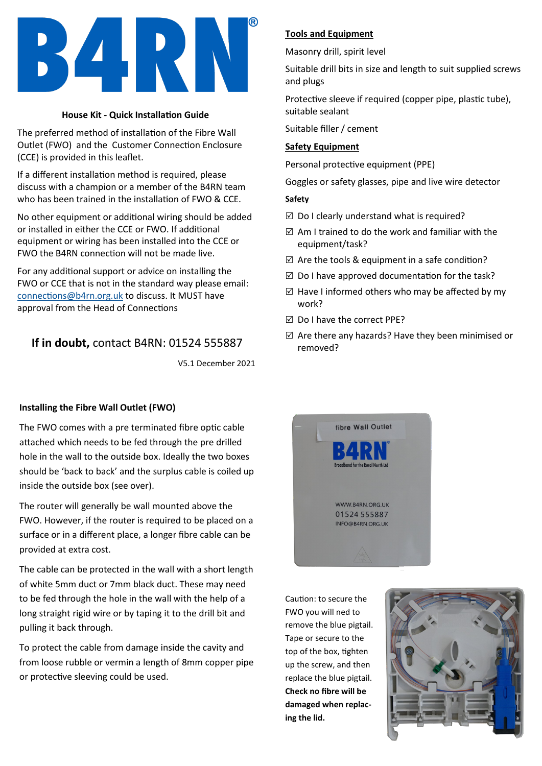

#### **House Kit - Quick Installation Guide**

The preferred method of installation of the Fibre Wall Outlet (FWO) and the Customer Connection Enclosure (CCE) is provided in this leaflet.

If a different installation method is required, please discuss with a champion or a member of the B4RN team who has been trained in the installation of FWO & CCE.

No other equipment or additional wiring should be added or installed in either the CCE or FWO. If additional equipment or wiring has been installed into the CCE or FWO the B4RN connection will not be made live.

For any additional support or advice on installing the FWO or CCE that is not in the standard way please email: [connections@b4rn.org.uk](mailto:connections@b4rn.org.uk) to discuss. It MUST have approval from the Head of Connections

# **If in doubt,** contact B4RN: 01524 555887

V5.1 December 2021

### **Installing the Fibre Wall Outlet (FWO)**

The FWO comes with a pre terminated fibre optic cable attached which needs to be fed through the pre drilled hole in the wall to the outside box. Ideally the two boxes should be 'back to back' and the surplus cable is coiled up inside the outside box (see over).

The router will generally be wall mounted above the FWO. However, if the router is required to be placed on a surface or in a different place, a longer fibre cable can be provided at extra cost.

The cable can be protected in the wall with a short length of white 5mm duct or 7mm black duct. These may need to be fed through the hole in the wall with the help of a long straight rigid wire or by taping it to the drill bit and pulling it back through.

To protect the cable from damage inside the cavity and from loose rubble or vermin a length of 8mm copper pipe or protective sleeving could be used.

## **Tools and Equipment**

Masonry drill, spirit level

Suitable drill bits in size and length to suit supplied screws and plugs

Protective sleeve if required (copper pipe, plastic tube), suitable sealant

Suitable filler / cement

### **Safety Equipment**

Personal protective equipment (PPE)

Goggles or safety glasses, pipe and live wire detector

#### **Safety**

- $\boxtimes$  Do I clearly understand what is required?
- $\boxtimes$  Am I trained to do the work and familiar with the equipment/task?
- $\boxtimes$  Are the tools & equipment in a safe condition?
- $\boxtimes$  Do I have approved documentation for the task?
- $\boxtimes$  Have I informed others who may be affected by my work?
- $\boxtimes$  Do I have the correct PPE?
- $\boxtimes$  Are there any hazards? Have they been minimised or removed?



Caution: to secure the FWO you will ned to remove the blue pigtail. Tape or secure to the top of the box, tighten up the screw, and then replace the blue pigtail. **Check no fibre will be damaged when replacing the lid.**

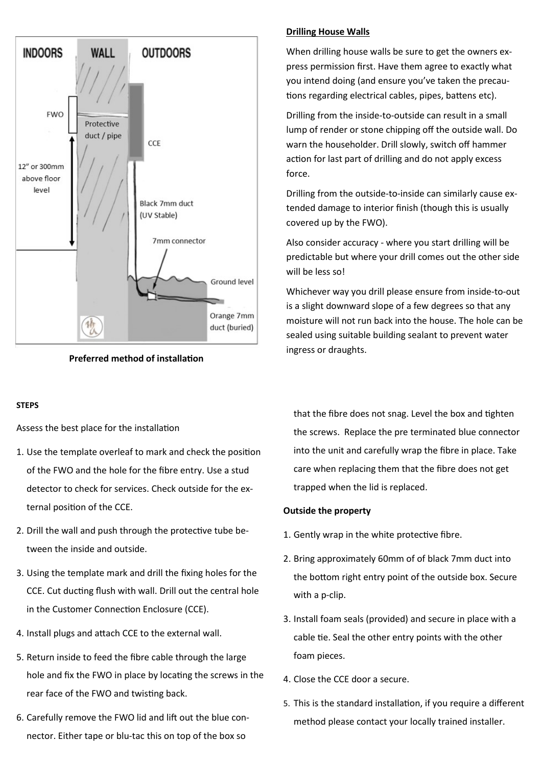

**Preferred method of installation**

#### **STEPS**

Assess the best place for the installation

- 1. Use the template overleaf to mark and check the position of the FWO and the hole for the fibre entry. Use a stud detector to check for services. Check outside for the external position of the CCE.
- 2. Drill the wall and push through the protective tube between the inside and outside.
- 3. Using the template mark and drill the fixing holes for the CCE. Cut ducting flush with wall. Drill out the central hole in the Customer Connection Enclosure (CCE).
- 4. Install plugs and attach CCE to the external wall.
- 5. Return inside to feed the fibre cable through the large hole and fix the FWO in place by locating the screws in the rear face of the FWO and twisting back.
- 6. Carefully remove the FWO lid and lift out the blue connector. Either tape or blu-tac this on top of the box so

## **Drilling House Walls**

When drilling house walls be sure to get the owners express permission first. Have them agree to exactly what you intend doing (and ensure you've taken the precautions regarding electrical cables, pipes, battens etc).

Drilling from the inside-to-outside can result in a small lump of render or stone chipping off the outside wall. Do warn the householder. Drill slowly, switch off hammer action for last part of drilling and do not apply excess force.

Drilling from the outside-to-inside can similarly cause extended damage to interior finish (though this is usually covered up by the FWO).

Also consider accuracy - where you start drilling will be predictable but where your drill comes out the other side will be less so!

Whichever way you drill please ensure from inside-to-out is a slight downward slope of a few degrees so that any moisture will not run back into the house. The hole can be sealed using suitable building sealant to prevent water ingress or draughts.

that the fibre does not snag. Level the box and tighten the screws. Replace the pre terminated blue connector into the unit and carefully wrap the fibre in place. Take care when replacing them that the fibre does not get trapped when the lid is replaced.

### **Outside the property**

- 1. Gently wrap in the white protective fibre.
- 2. Bring approximately 60mm of of black 7mm duct into the bottom right entry point of the outside box. Secure with a p-clip.
- 3. Install foam seals (provided) and secure in place with a cable tie. Seal the other entry points with the other foam pieces.
- 4. Close the CCE door a secure.
- 5. This is the standard installation, if you require a different method please contact your locally trained installer.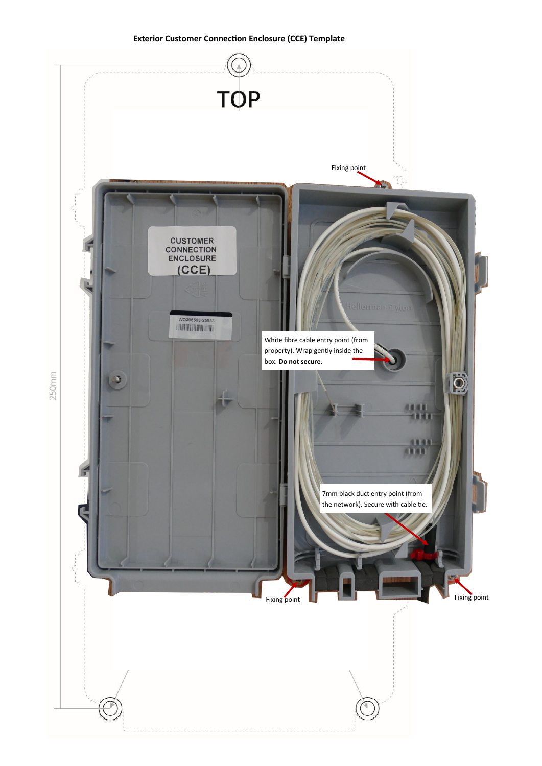#### **Exterior Customer Connection Enclosure (CCE) Template**



 $250mm$